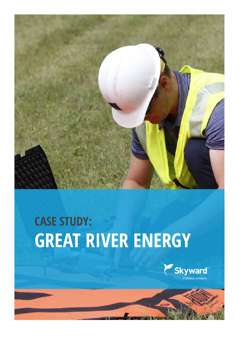

# **CASE STUDY: GREAT RIVER ENERGY**

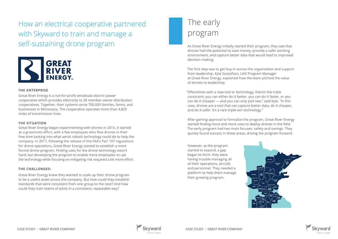How an electrical cooperative partnered with Skyward to train and manage a self-sustaining drone program As Great River Energy initially started their program, they saw that



drones had the potential to save money, provide a safer working environment, and capture better data that would lead to improved decision making.

The first step was to get buy-in across the organization and support from leadership. Kyle Gustofson, UAS Program Manager at Great River Energy, explained how the team pitched the value of drones to leadership.

"Oftentimes with a new tool or technology, there's the triple constraint: you can either do it better, you can do it faster, or you can do it cheaper — and you can only pick two," said Kyle. "In this case, drones are a tool that can capture better data, do it cheaper, and do it safer. It's a rare triple-win technology."

After gaining approval to formalize the program, Great River Energy started finding more and more uses to deploy drones in the field. The early program had two main focuses: safety and savings. They quickly found success in these areas, driving the program forward.

### **THE ENTERPRISE**

Great River Energy is a not-for-profit wholesale electric power cooperative which provides electricity to 28 member-owner distribution cooperatives. Together, their systems serve 700,000 families, farms, and businesses in Minnesota. The cooperative operates more than 4,820 miles of transmission lines.

#### **THE SITUATION**

Great River Energy began experimenting with drones in 2015. It started as a grassroots effort, with a few employees who flew drones in their free time looking into what aerial robotic technology could do to help the company. In 2017, following the release of the FAA's Part 107 regulations for drone operations, Great River Energy started to establish a more formal drone program. Finding uses for the drone technology wasn't hard, but developing the program to enable more employees to use the technology while focusing on mitigating risk required a bit more effort.

### **THE CHALLENGES:**

Great River Energy knew they wanted to scale up their drone program to be a useful asset across the company. But how could they establish standards that were consistent from one group to the next? And how could they train teams of pilots in a consistent, repeatable way?

### The early program

However, as the program started to expand, a gap began to form: they were having trouble managing all of their operations, aircraft, and personnel. They needed a platform to help them manage their growing program.





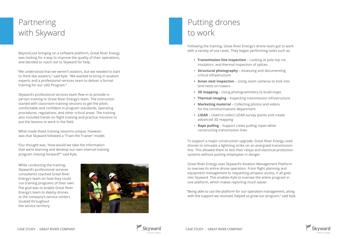Beyond just bringing on a software platform, Great River Energy was looking for a way to improve the quality of their operations, and decided to reach out to Skyward for help.

"We understood that we weren't aviators, but we needed to start to think like aviators," said Kyle. "We wanted to bring in aviation experts and a professional services team to deliver a formal training for our UAS Program."

Skyward's professional services team flew in to provide inperson training to Great River Energy's team. The instruction started with classroom training sessions to get the pilots comfortable and confident in program standards, operating procedures, regulations, and other critical areas. The training also included hands-on flight training and practice missions to put the lessons to work in the field.

What made these training sessions unique, however, was that Skyward followed a "Train the Trainer" model.

"Our thought was, 'How would we take the information that we're learning and develop our own internal training program moving forward?'" said Kyle.

## Partnering with Skyward

Following the training, Great River Energy's drone team got to work with a variety of use cases. They began performing tasks such as:

- **• Transmission line inspection** Looking at pole top rot, insulators, and thermal inspection of splices
- **Structural photography** Assessing and documenting critical infrastructure
- **• Avian nest inspection** Using zoom cameras to look into bird nests on towers
- **• 3D mapping**  Using photogrammetry to build maps
- **• Thermal imaging**  Inspecting transmission infrastructure
- **• Marketing material**  Collecting photos and videos for the communications department
- **• LiDAR**  Used to collect LiDAR survey points and create advanced 3D mapping
- **Rope pulling** Support crews pulling ropes while constructing transmission lines

To support a major construction upgrade, Great River Energy used drones to simulate a lightning strike on an energized transmission line. This allowed them to test their relays and electrical protection systems without putting employees in danger.

Great River Energy uses Skyward's Aviation Management Platform to oversee its entire drone operation. From flight planning and equipment management to requesting airspace access, it all goes into Skyward. This enables Kyle to oversee the entire program in one platform, which makes reporting much easier.

"Being able to use the platform for our operation management, along with the support we received, helped us grow our program," said Kyle.





## Putting drones to work

While conducting the training, Skyward's professional services consultants coached Great River Energy's team on how they could run training programs of their own. The goal was to enable Great River Energy's team to deploy drones to the company's service centers located throughout the service territory.